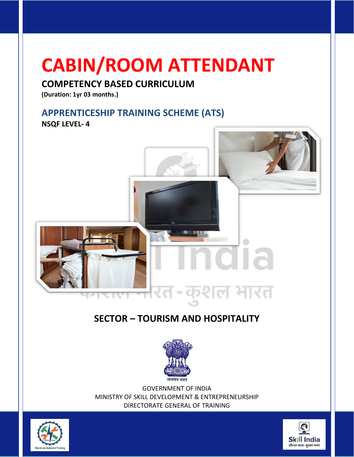# **CABIN/ROOM ATTENDANT**

# **COMPETENCY BASED CURRICULUM**

**(Duration: 1yr 03 months.)**

# **APPRENTICESHIP TRAINING SCHEME (ATS)**

**NSQF LEVEL- 4**



# **SECTOR – TOURISM AND HOSPITALITY**



GOVERNMENT OF INDIA MINISTRY OF SKILL DEVELOPMENT & ENTREPRENEURSHIP DIRECTORATE GENERAL OF TRAINING



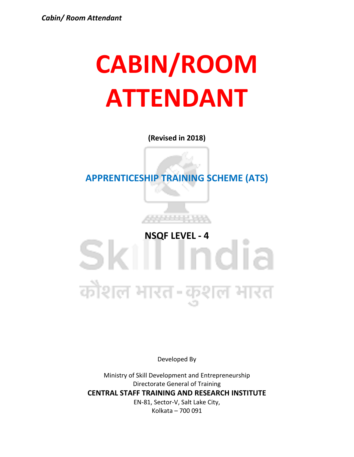# **CABIN/ROOM ATTENDANT**

**(Revised in 2018)**

**APPRENTICESHIP TRAINING SCHEME (ATS)**

**SKI NSQF LEVEL - 4**<br> **NSQF LEVEL - 4**<br> **NSQF LEVEL - 4** कोशल भारत-कुशल भारत

Developed By

Ministry of Skill Development and Entrepreneurship Directorate General of Training **CENTRAL STAFF TRAINING AND RESEARCH INSTITUTE** EN-81, Sector-V, Salt Lake City, Kolkata – 700 091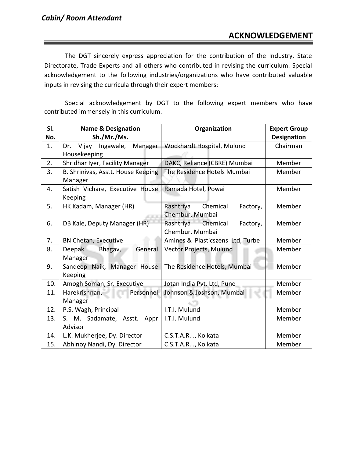The DGT sincerely express appreciation for the contribution of the Industry, State Directorate, Trade Experts and all others who contributed in revising the curriculum. Special acknowledgement to the following industries/organizations who have contributed valuable inputs in revising the curricula through their expert members:

Special acknowledgement by DGT to the following expert members who have contributed immensely in this curriculum.

| SI. | <b>Name &amp; Designation</b>                     | Organization                                         | <b>Expert Group</b> |
|-----|---------------------------------------------------|------------------------------------------------------|---------------------|
| No. | Sh./Mr./Ms.                                       |                                                      | <b>Designation</b>  |
| 1.  | Vijay<br>Ingawale,<br>Manager<br>Dr.              | Wockhardt Hospital, Mulund                           | Chairman            |
|     | Housekeeping                                      |                                                      |                     |
| 2.  | Shridhar Iyer, Facility Manager                   | DAKC, Reliance (CBRE) Mumbai                         | Member              |
| 3.  | B. Shrinivas, Asstt. House Keeping<br>Manager     | The Residence Hotels Mumbai                          | Member              |
| 4.  | Satish Vichare, Executive House<br><b>Keeping</b> | Ramada Hotel, Powai                                  | Member              |
| 5.  | HK Kadam, Manager (HR)                            | Rashtriya<br>Chemical<br>Factory,<br>Chembur, Mumbai | Member              |
| 6.  | DB Kale, Deputy Manager (HR)                      | Rashtriya Chemical<br>Factory,<br>Chembur, Mumbai    | Member              |
| 7.  | BN Chetan, Executive                              | Amines & Plasticszens Ltd, Turbe                     | Member              |
| 8.  | Deepak<br>General<br>Bhagav,<br>Manager           | Vector Projects, Mulund                              | Member              |
| 9.  | Sandeep Naik, Manager House<br><b>Keeping</b>     | The Residence Hotels, Mumbai                         | Member              |
| 10. | Amogh Soman, Sr. Executive                        | Jotan India Pvt. Ltd, Pune                           | Member              |
| 11. | Harekrishnan,<br>Personnel<br>Manager             | Johnson & Joshson, Mumbai                            | Member              |
| 12. | P.S. Wagh, Principal                              | I.T.I. Mulund                                        | Member              |
| 13. | S. M. Sadamate, Asstt.<br>Appr                    | I.T.I. Mulund                                        | Member              |
|     | Advisor                                           |                                                      |                     |
| 14. | L.K. Mukherjee, Dy. Director                      | C.S.T.A.R.I., Kolkata                                | Member              |
| 15. | Abhinoy Nandi, Dy. Director                       | C.S.T.A.R.I., Kolkata                                | Member              |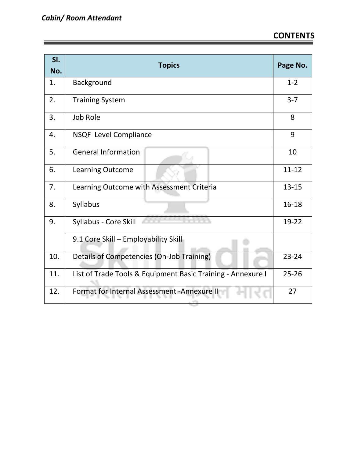| SI.<br>No. | <b>Topics</b>                                               | Page No.  |
|------------|-------------------------------------------------------------|-----------|
| 1.         | Background                                                  | $1 - 2$   |
| 2.         | <b>Training System</b>                                      | $3 - 7$   |
| 3.         | <b>Job Role</b>                                             | 8         |
| 4.         | NSQF Level Compliance                                       | 9         |
| 5.         | <b>General Information</b>                                  | 10        |
| 6.         | Learning Outcome                                            | $11 - 12$ |
| 7.         | Learning Outcome with Assessment Criteria                   | $13 - 15$ |
| 8.         | Syllabus                                                    | 16-18     |
| 9.         | Syllabus - Core Skill                                       | 19-22     |
|            | 9.1 Core Skill - Employability Skill                        |           |
| 10.        | Details of Competencies (On-Job Training)                   | $23 - 24$ |
| 11.        | List of Trade Tools & Equipment Basic Training - Annexure I | $25 - 26$ |
| 12.        | Format for Internal Assessment - Annexure II                | 27        |

المستور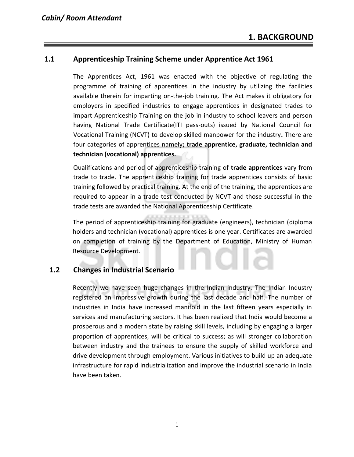### **1.1 Apprenticeship Training Scheme under Apprentice Act 1961**

The Apprentices Act, 1961 was enacted with the objective of regulating the programme of training of apprentices in the industry by utilizing the facilities available therein for imparting on-the-job training. The Act makes it obligatory for employers in specified industries to engage apprentices in designated trades to impart Apprenticeship Training on the job in industry to school leavers and person having National Trade Certificate(ITI pass-outs) issued by National Council for Vocational Training (NCVT) to develop skilled manpower for the industry**.** There are four categories of apprentices namely**; trade apprentice, graduate, technician and technician (vocational) apprentices.** 

Qualifications and period of apprenticeship training of **trade apprentices** vary from trade to trade. The apprenticeship training for trade apprentices consists of basic training followed by practical training. At the end of the training, the apprentices are required to appear in a trade test conducted by NCVT and those successful in the trade tests are awarded the National Apprenticeship Certificate.

The period of apprenticeship training for graduate (engineers), technician (diploma holders and technician (vocational) apprentices is one year. Certificates are awarded on completion of training by the Department of Education, Ministry of Human Resource Development.

### **1.2 Changes in Industrial Scenario**

Recently we have seen huge changes in the Indian industry. The Indian Industry registered an impressive growth during the last decade and half. The number of industries in India have increased manifold in the last fifteen years especially in services and manufacturing sectors. It has been realized that India would become a prosperous and a modern state by raising skill levels, including by engaging a larger proportion of apprentices, will be critical to success; as will stronger collaboration between industry and the trainees to ensure the supply of skilled workforce and drive development through employment. Various initiatives to build up an adequate infrastructure for rapid industrialization and improve the industrial scenario in India have been taken.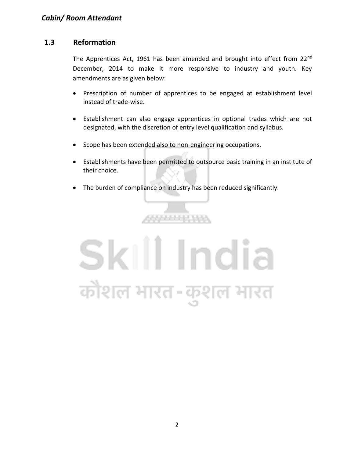# **1.3 Reformation**

The Apprentices Act, 1961 has been amended and brought into effect from 22<sup>nd</sup> December, 2014 to make it more responsive to industry and youth. Key amendments are as given below:

- Prescription of number of apprentices to be engaged at establishment level instead of trade-wise.
- Establishment can also engage apprentices in optional trades which are not designated, with the discretion of entry level qualification and syllabus.
- Scope has been extended also to non-engineering occupations.
- Establishments have been permitted to outsource basic training in an institute of their choice.
- The burden of compliance on industry has been reduced significantly.

,,,,,,,,,,,,

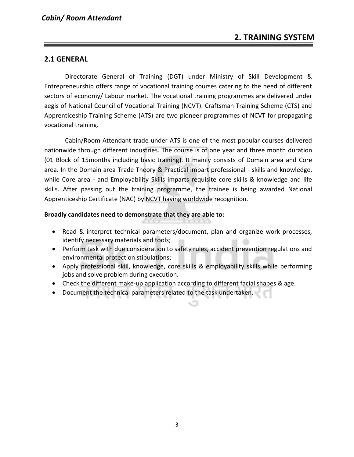### **2.1 GENERAL**

Directorate General of Training (DGT) under Ministry of Skill Development & Entrepreneurship offers range of vocational training courses catering to the need of different sectors of economy/ Labour market. The vocational training programmes are delivered under aegis of National Council of Vocational Training (NCVT). Craftsman Training Scheme (CTS) and Apprenticeship Training Scheme (ATS) are two pioneer programmes of NCVT for propagating vocational training.

Cabin/Room Attendant trade under ATS is one of the most popular courses delivered nationwide through different industries. The course is of one year and three month duration (01 Block of 15months including basic training). It mainly consists of Domain area and Core area. In the Domain area Trade Theory & Practical impart professional - skills and knowledge, while Core area - and Employability Skills imparts requisite core skills & knowledge and life skills. After passing out the training programme, the trainee is being awarded National Apprenticeship Certificate (NAC) by NCVT having worldwide recognition.

#### **Broadly candidates need to demonstrate that they are able to:**

- Read & interpret technical parameters/document, plan and organize work processes, identify necessary materials and tools;
- Perform task with due consideration to safety rules, accident prevention regulations and environmental protection stipulations;
- Apply professional skill, knowledge, core skills & employability skills while performing jobs and solve problem during execution.
- Check the different make-up application according to different facial shapes & age.
- Document the technical parameters related to the task undertaken.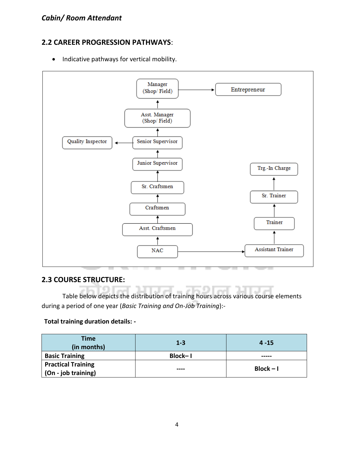# **2.2 CAREER PROGRESSION PATHWAYS**:

• Indicative pathways for vertical mobility.



### **2.3 COURSE STRUCTURE:**

Table below depicts the distribution of training hours across various course elements during a period of one year (*Basic Training and On-Job Training*):-

#### **Total training duration details: -**

| <b>Time</b><br>(in months) | $1 - 3$ | $4 - 15$    |  |
|----------------------------|---------|-------------|--|
| <b>Basic Training</b>      | Block-1 |             |  |
| <b>Practical Training</b>  | ----    | $Block - I$ |  |
| (On - job training)        |         |             |  |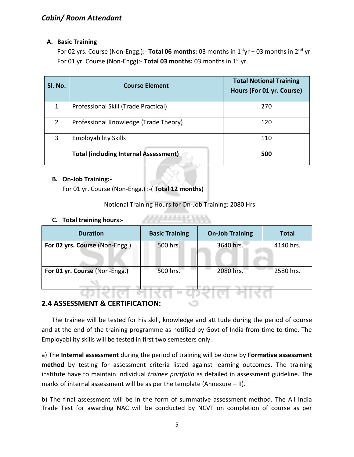#### **A. Basic Training**

For 02 yrs. Course (Non-Engg.):- **Total 06 months:** 03 months in 1styr + 03 months in 2nd yr For 01 yr. Course (Non-Engg):- **Total 03 months:** 03 months in 1st yr.

| Sl. No.        | <b>Course Element</b>                        | <b>Total Notional Training</b><br>Hours (For 01 yr. Course) |
|----------------|----------------------------------------------|-------------------------------------------------------------|
| 1              | Professional Skill (Trade Practical)         | 270                                                         |
| $\overline{2}$ | Professional Knowledge (Trade Theory)        | 120                                                         |
| 3              | <b>Employability Skills</b>                  | 110                                                         |
|                | <b>Total (including Internal Assessment)</b> | 500                                                         |

#### **B. On-Job Training:-**

For 01 yr. Course (Non-Engg.) :-( **Total 12 months**)

Notional Training Hours for On-Job Training: 2080 Hrs.

#### **C. Total training hours:-**

| <b>Duration</b>                | <b>Basic Training</b> | <b>On-Job Training</b> | <b>Total</b> |
|--------------------------------|-----------------------|------------------------|--------------|
| For 02 yrs. Course (Non-Engg.) | 500 hrs.              | 3640 hrs.              | 4140 hrs.    |
| For 01 yr. Course (Non-Engg.)  | 500 hrs.              | 2080 hrs.              | 2580 hrs.    |
|                                |                       |                        |              |

# **2.4 ASSESSMENT & CERTIFICATION:**

The trainee will be tested for his skill, knowledge and attitude during the period of course and at the end of the training programme as notified by Govt of India from time to time. The Employability skills will be tested in first two semesters only.

a) The **Internal assessment** during the period of training will be done by **Formative assessment method** by testing for assessment criteria listed against learning outcomes. The training institute have to maintain individual *trainee portfolio* as detailed in assessment guideline. The marks of internal assessment will be as per the template (Annexure – II).

b) The final assessment will be in the form of summative assessment method. The All India Trade Test for awarding NAC will be conducted by NCVT on completion of course as per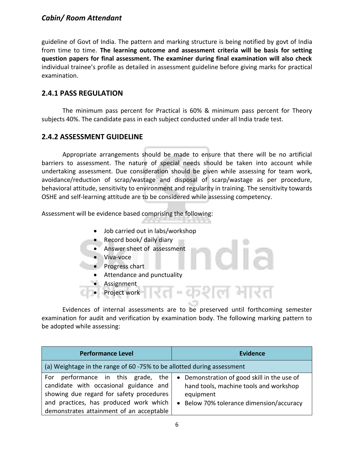## *Cabin/ Room Attendant*

guideline of Govt of India. The pattern and marking structure is being notified by govt of India from time to time. **The learning outcome and assessment criteria will be basis for setting question papers for final assessment. The examiner during final examination will also check**  individual trainee's profile as detailed in assessment guideline before giving marks for practical examination.

# **2.4.1 PASS REGULATION**

The minimum pass percent for Practical is 60% & minimum pass percent for Theory subjects 40%. The candidate pass in each subject conducted under all India trade test.

### **2.4.2 ASSESSMENT GUIDELINE**

Appropriate arrangements should be made to ensure that there will be no artificial barriers to assessment. The nature of special needs should be taken into account while undertaking assessment. Due consideration should be given while assessing for team work, avoidance/reduction of scrap/wastage and disposal of scarp/wastage as per procedure, behavioral attitude, sensitivity to environment and regularity in training. The sensitivity towards OSHE and self-learning attitude are to be considered while assessing competency.

Assessment will be evidence based comprising the following:

- Job carried out in labs/workshop
- Record book/ daily diary
- Answer sheet of assessment
- Viva-voce
- Progress chart
	- Attendance and punctuality
- **Assignment**
- Project work

Evidences of internal assessments are to be preserved until forthcoming semester examination for audit and verification by examination body. The following marking pattern to be adopted while assessing:

 $\epsilon$ 

ल मारत

| <b>Performance Level</b>                                                                                                                                                                                          | <b>Evidence</b>                                                                                                                                |
|-------------------------------------------------------------------------------------------------------------------------------------------------------------------------------------------------------------------|------------------------------------------------------------------------------------------------------------------------------------------------|
| (a) Weightage in the range of 60 -75% to be allotted during assessment                                                                                                                                            |                                                                                                                                                |
| performance in this grade, the<br>For<br>candidate with occasional guidance and<br>showing due regard for safety procedures<br>and practices, has produced work which<br>demonstrates attainment of an acceptable | • Demonstration of good skill in the use of<br>hand tools, machine tools and workshop<br>equipment<br>• Below 70% tolerance dimension/accuracy |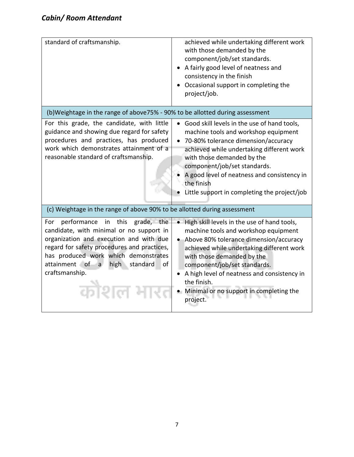| standard of craftsmanship.                                                                                                                                                                                                                                                              | achieved while undertaking different work<br>with those demanded by the<br>component/job/set standards.<br>A fairly good level of neatness and<br>consistency in the finish<br>Occasional support in completing the<br>project/job.                                                                                                                               |
|-----------------------------------------------------------------------------------------------------------------------------------------------------------------------------------------------------------------------------------------------------------------------------------------|-------------------------------------------------------------------------------------------------------------------------------------------------------------------------------------------------------------------------------------------------------------------------------------------------------------------------------------------------------------------|
| (b)Weightage in the range of above75% - 90% to be allotted during assessment                                                                                                                                                                                                            |                                                                                                                                                                                                                                                                                                                                                                   |
| For this grade, the candidate, with little<br>guidance and showing due regard for safety<br>procedures and practices, has produced<br>work which demonstrates attainment of a<br>reasonable standard of craftsmanship.                                                                  | Good skill levels in the use of hand tools,<br>machine tools and workshop equipment<br>• 70-80% tolerance dimension/accuracy<br>achieved while undertaking different work<br>with those demanded by the<br>component/job/set standards.<br>A good level of neatness and consistency in<br>the finish<br>Little support in completing the project/job              |
| (c) Weightage in the range of above 90% to be allotted during assessment                                                                                                                                                                                                                |                                                                                                                                                                                                                                                                                                                                                                   |
| performance in this grade, the<br>For<br>candidate, with minimal or no support in<br>organization and execution and with due<br>regard for safety procedures and practices,<br>has produced work which demonstrates<br>attainment of a<br>high standard<br>of<br>craftsmanship.<br>कौशल | • High skill levels in the use of hand tools,<br>machine tools and workshop equipment<br>Above 80% tolerance dimension/accuracy<br>achieved while undertaking different work<br>with those demanded by the<br>component/job/set standards.<br>A high level of neatness and consistency in<br>the finish.<br>• Minimal or no support in completing the<br>project. |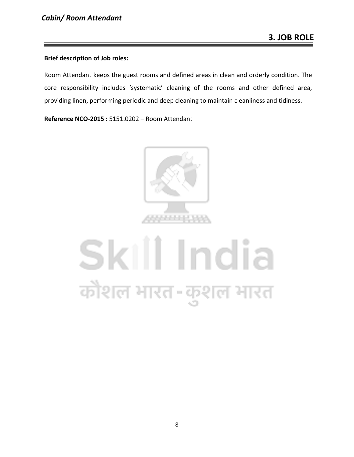#### **Brief description of Job roles:**

Room Attendant keeps the guest rooms and defined areas in clean and orderly condition. The core responsibility includes 'systematic' cleaning of the rooms and other defined area, providing linen, performing periodic and deep cleaning to maintain cleanliness and tidiness.

**Reference NCO-2015 :** 5151.0202 – Room Attendant



# Skill India कौशल भारत-कुशल भारत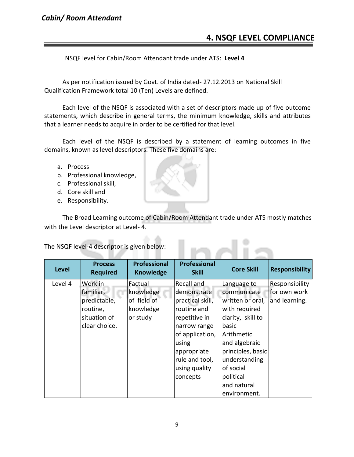# *Cabin/ Room Attendant*

# **4. NSQF LEVEL COMPLIANCE**

NSQF level for Cabin/Room Attendant trade under ATS: **Level 4**

As per notification issued by Govt. of India dated- 27.12.2013 on National Skill Qualification Framework total 10 (Ten) Levels are defined.

Each level of the NSQF is associated with a set of descriptors made up of five outcome statements, which describe in general terms, the minimum knowledge, skills and attributes that a learner needs to acquire in order to be certified for that level.

Each level of the NSQF is described by a statement of learning outcomes in five domains, known as level descriptors. These five domains are:

- a. Process
- b. Professional knowledge,
- c. Professional skill,
- d. Core skill and
- e. Responsibility.

The Broad Learning outcome of Cabin/Room Attendant trade under ATS mostly matches with the Level descriptor at Level- 4.

**KOLA** 

The NSQF level-4 descriptor is given below:

| <b>Level</b> | <b>Process</b><br><b>Required</b>                                                 | <b>Professional</b><br><b>Knowledge</b>                      | <b>Professional</b><br><b>Skill</b>                                                                                                                                         | <b>Core Skill</b>                                                                                                                                                               | <b>Responsibility</b>                           |
|--------------|-----------------------------------------------------------------------------------|--------------------------------------------------------------|-----------------------------------------------------------------------------------------------------------------------------------------------------------------------------|---------------------------------------------------------------------------------------------------------------------------------------------------------------------------------|-------------------------------------------------|
| Level 4      | Work in<br>familiar,<br>predictable,<br>routine,<br>situation of<br>clear choice. | Factual<br>knowledge<br>of field of<br>knowledge<br>or study | Recall and<br>demonstrate<br>practical skill,<br>routine and<br>repetitive in<br>narrow range<br>of application,<br>using<br>appropriate<br>rule and tool,<br>using quality | Language to<br>communicate<br>written or oral,<br>with required<br>clarity, skill to<br>basic<br>Arithmetic<br>and algebraic<br>principles, basic<br>understanding<br>of social | Responsibility<br>for own work<br>and learning. |
|              |                                                                                   |                                                              | concepts                                                                                                                                                                    | political<br>and natural<br>environment.                                                                                                                                        |                                                 |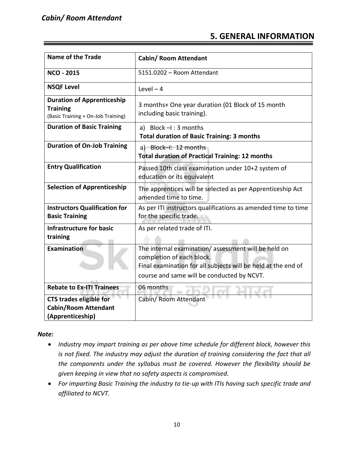# **5. GENERAL INFORMATION**

| <b>Name of the Trade</b>                                                                   | <b>Cabin/ Room Attendant</b>                                                                                                                                                                    |
|--------------------------------------------------------------------------------------------|-------------------------------------------------------------------------------------------------------------------------------------------------------------------------------------------------|
| <b>NCO - 2015</b>                                                                          | 5151.0202 - Room Attendant                                                                                                                                                                      |
| <b>NSQF Level</b>                                                                          | Level $-4$                                                                                                                                                                                      |
| <b>Duration of Apprenticeship</b><br><b>Training</b><br>(Basic Training + On-Job Training) | 3 months+ One year duration (01 Block of 15 month<br>including basic training).                                                                                                                 |
| <b>Duration of Basic Training</b>                                                          | a) Block $-I$ : 3 months<br><b>Total duration of Basic Training: 3 months</b>                                                                                                                   |
| <b>Duration of On-Job Training</b>                                                         | a) Block-I: 12 months<br><b>Total duration of Practical Training: 12 months</b>                                                                                                                 |
| <b>Entry Qualification</b>                                                                 | Passed 10th class examination under 10+2 system of<br>education or its equivalent                                                                                                               |
| <b>Selection of Apprenticeship</b>                                                         | The apprentices will be selected as per Apprenticeship Act<br>amended time to time.                                                                                                             |
| <b>Instructors Qualification for</b><br><b>Basic Training</b>                              | As per ITI instructors qualifications as amended time to time<br>for the specific trade.                                                                                                        |
| <b>Infrastructure for basic</b><br>training                                                | As per related trade of ITI.                                                                                                                                                                    |
| Examination                                                                                | The internal examination/assessment will be held on<br>completion of each block.<br>Final examination for all subjects will be held at the end of<br>course and same will be conducted by NCVT. |
| <b>Rebate to Ex-ITI Trainees</b>                                                           | 06 months                                                                                                                                                                                       |
| <b>CTS trades eligible for</b><br><b>Cabin/Room Attendant</b><br>(Apprenticeship)          | Cabin/ Room Attendant                                                                                                                                                                           |

*Note:*

- *Industry may impart training as per above time schedule for different block, however this is not fixed. The industry may adjust the duration of training considering the fact that all the components under the syllabus must be covered. However the flexibility should be given keeping in view that no safety aspects is compromised.*
- *For imparting Basic Training the industry to tie-up with ITIs having such specific trade and affiliated to NCVT.*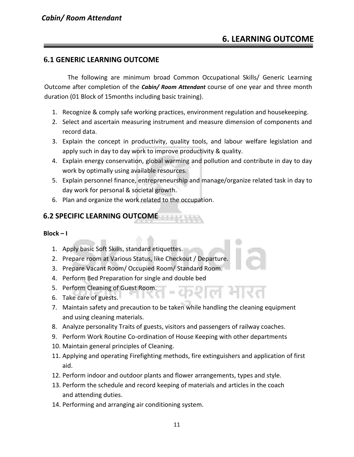# **6. LEARNING OUTCOME**

# **6.1 GENERIC LEARNING OUTCOME**

The following are minimum broad Common Occupational Skills/ Generic Learning Outcome after completion of the *Cabin/ Room Attendant* course of one year and three month duration (01 Block of 15months including basic training).

- 1. Recognize & comply safe working practices, environment regulation and housekeeping.
- 2. Select and ascertain measuring instrument and measure dimension of components and record data.
- 3. Explain the concept in productivity, quality tools, and labour welfare legislation and apply such in day to day work to improve productivity & quality.
- 4. Explain energy conservation, global warming and pollution and contribute in day to day work by optimally using available resources.
- 5. Explain personnel finance, entrepreneurship and manage/organize related task in day to day work for personal & societal growth.
- 6. Plan and organize the work related to the occupation.

# **6.2 SPECIFIC LEARNING OUTCOME**

#### **Block – I**

- 1. Apply basic Soft Skills, standard etiquettes.
- 2. Prepare room at Various Status, like Checkout / Departure.
- 3. Prepare Vacant Room/ Occupied Room/ Standard Room.
- 4. Perform Bed Preparation for single and double bed
- 5. Perform Cleaning of Guest Room.
- 6. Take care of guests.
- 7. Maintain safety and precaution to be taken while handling the cleaning equipment and using cleaning materials.
- 8. Analyze personality Traits of guests, visitors and passengers of railway coaches.
- 9. Perform Work Routine Co-ordination of House Keeping with other departments
- 10. Maintain general principles of Cleaning.
- 11. Applying and operating Firefighting methods, fire extinguishers and application of first aid.
- 12. Perform indoor and outdoor plants and flower arrangements, types and style.
- 13. Perform the schedule and record keeping of materials and articles in the coach and attending duties.
- 14. Performing and arranging air conditioning system.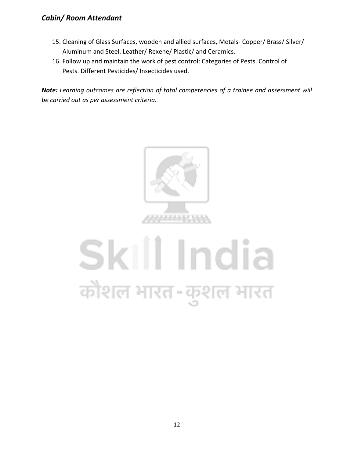# *Cabin/ Room Attendant*

- 15. Cleaning of Glass Surfaces, wooden and allied surfaces, Metals- Copper/ Brass/ Silver/ Aluminum and Steel. Leather/ Rexene/ Plastic/ and Ceramics.
- 16. Follow up and maintain the work of pest control: Categories of Pests. Control of Pests. Different Pesticides/ Insecticides used.

*Note: Learning outcomes are reflection of total competencies of a trainee and assessment will be carried out as per assessment criteria.*



# Skill India कोशल भारत-कुशल भारत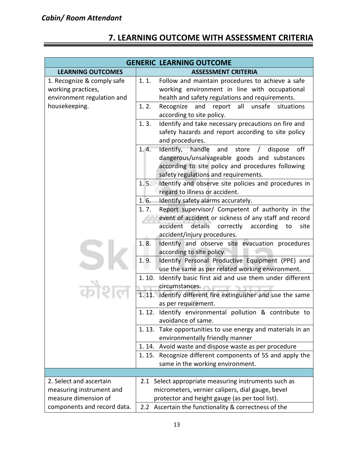# **7. LEARNING OUTCOME WITH ASSESSMENT CRITERIA**

| <b>GENERIC LEARNING OUTCOME</b>                                                                 |                                                                                                                                                                                                                                   |
|-------------------------------------------------------------------------------------------------|-----------------------------------------------------------------------------------------------------------------------------------------------------------------------------------------------------------------------------------|
| <b>LEARNING OUTCOMES</b>                                                                        | <b>ASSESSMENT CRITERIA</b>                                                                                                                                                                                                        |
| 1. Recognize & comply safe<br>working practices,<br>environment regulation and<br>housekeeping. | 1.1.<br>Follow and maintain procedures to achieve a safe<br>working environment in line with occupational<br>health and safety regulations and requirements.<br>1.2.<br>and<br>all<br>unsafe<br>situations<br>Recognize<br>report |
|                                                                                                 | according to site policy.                                                                                                                                                                                                         |
|                                                                                                 | Identify and take necessary precautions on fire and<br>1.3.<br>safety hazards and report according to site policy<br>and procedures.                                                                                              |
|                                                                                                 | 1.4.<br>Identify, handle<br>and<br>off<br>store<br>dispose<br>$\sqrt{2}$<br>dangerous/unsalvageable goods and substances<br>according to site policy and procedures following<br>safety regulations and requirements.             |
|                                                                                                 | Identify and observe site policies and procedures in<br>1.5.<br>regard to illness or accident.                                                                                                                                    |
|                                                                                                 | 1.6.<br>Identify safety alarms accurately.                                                                                                                                                                                        |
|                                                                                                 | Report supervisor/ Competent of authority in the<br>1.7.<br>event of accident or sickness of any staff and record<br>accident details<br>correctly<br>according<br>to<br>site                                                     |
|                                                                                                 | accident/injury procedures.                                                                                                                                                                                                       |
|                                                                                                 | 1.8.<br>Identify and observe site evacuation procedures<br>according to site policy.<br>1.9.<br>Identify Personal Productive Equipment (PPE) and                                                                                  |
|                                                                                                 | use the same as per related working environment.                                                                                                                                                                                  |
|                                                                                                 | Identify basic first aid and use them under different<br>1.10.<br>circumstances.                                                                                                                                                  |
|                                                                                                 | 1.11.<br>Identify different fire extinguisher and use the same<br>as per requirement.                                                                                                                                             |
|                                                                                                 | 1.12. Identify environmental pollution & contribute to<br>avoidance of same.                                                                                                                                                      |
|                                                                                                 | 1.13. Take opportunities to use energy and materials in an<br>environmentally friendly manner                                                                                                                                     |
|                                                                                                 | 1.14. Avoid waste and dispose waste as per procedure                                                                                                                                                                              |
|                                                                                                 | Recognize different components of 5S and apply the<br>1.15.<br>same in the working environment.                                                                                                                                   |
|                                                                                                 |                                                                                                                                                                                                                                   |
| 2. Select and ascertain                                                                         | 2.1 Select appropriate measuring instruments such as                                                                                                                                                                              |
| measuring instrument and                                                                        | micrometers, vernier calipers, dial gauge, bevel                                                                                                                                                                                  |
| measure dimension of                                                                            | protector and height gauge (as per tool list).                                                                                                                                                                                    |
| components and record data.                                                                     | Ascertain the functionality & correctness of the<br>2.2 <sub>2</sub>                                                                                                                                                              |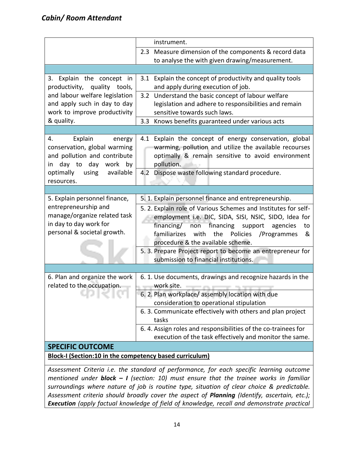|                                                                                                                                                     | instrument.                                                                                                                                                                                                                                                                                                                          |  |
|-----------------------------------------------------------------------------------------------------------------------------------------------------|--------------------------------------------------------------------------------------------------------------------------------------------------------------------------------------------------------------------------------------------------------------------------------------------------------------------------------------|--|
|                                                                                                                                                     | 2.3 Measure dimension of the components & record data<br>to analyse the with given drawing/measurement.                                                                                                                                                                                                                              |  |
|                                                                                                                                                     |                                                                                                                                                                                                                                                                                                                                      |  |
| 3. Explain the concept in<br>productivity, quality tools,                                                                                           | 3.1 Explain the concept of productivity and quality tools<br>and apply during execution of job.                                                                                                                                                                                                                                      |  |
| and labour welfare legislation<br>and apply such in day to day<br>work to improve productivity                                                      | 3.2 Understand the basic concept of labour welfare<br>legislation and adhere to responsibilities and remain<br>sensitive towards such laws.                                                                                                                                                                                          |  |
| & quality.                                                                                                                                          | Knows benefits guaranteed under various acts<br>3.3                                                                                                                                                                                                                                                                                  |  |
|                                                                                                                                                     |                                                                                                                                                                                                                                                                                                                                      |  |
| Explain<br>4.<br>energy<br>conservation, global warming<br>and pollution and contribute<br>in day to day work by<br>optimally<br>using<br>available | 4.1 Explain the concept of energy conservation, global<br>warming, pollution and utilize the available recourses<br>optimally & remain sensitive to avoid environment<br>pollution.<br>4.2 Dispose waste following standard procedure.                                                                                               |  |
| resources.                                                                                                                                          |                                                                                                                                                                                                                                                                                                                                      |  |
|                                                                                                                                                     |                                                                                                                                                                                                                                                                                                                                      |  |
| 5. Explain personnel finance,<br>entrepreneurship and<br>manage/organize related task<br>in day to day work for<br>personal & societal growth.      | 5. 1. Explain personnel finance and entrepreneurship.<br>5. 2. Explain role of Various Schemes and Institutes for self-<br>employment i.e. DIC, SIDA, SISI, NSIC, SIDO, Idea for<br>financing/ non financing support agencies<br>to<br>familiarizes with<br>the<br>Policies<br>/Programmes<br>&<br>procedure & the available scheme. |  |
|                                                                                                                                                     | 5. 3. Prepare Project report to become an entrepreneur for<br>submission to financial institutions.                                                                                                                                                                                                                                  |  |
|                                                                                                                                                     |                                                                                                                                                                                                                                                                                                                                      |  |
| 6. Plan and organize the work<br>related to the occupation.                                                                                         | 6. 1. Use documents, drawings and recognize hazards in the<br>work site.                                                                                                                                                                                                                                                             |  |
|                                                                                                                                                     | 6. 2. Plan workplace/ assembly location with due<br>consideration to operational stipulation                                                                                                                                                                                                                                         |  |
|                                                                                                                                                     | 6. 3. Communicate effectively with others and plan project<br>tasks                                                                                                                                                                                                                                                                  |  |
|                                                                                                                                                     | 6.4. Assign roles and responsibilities of the co-trainees for<br>execution of the task effectively and monitor the same.                                                                                                                                                                                                             |  |
| <b>SPECIFIC OUTCOME</b>                                                                                                                             |                                                                                                                                                                                                                                                                                                                                      |  |
| Block-I (Section:10 in the competency based curriculum)                                                                                             |                                                                                                                                                                                                                                                                                                                                      |  |

*Assessment Criteria i.e. the standard of performance, for each specific learning outcome mentioned under block – I (section: 10) must ensure that the trainee works in familiar surroundings where nature of job is routine type, situation of clear choice & predictable. Assessment criteria should broadly cover the aspect of Planning (Identify, ascertain, etc.); Execution (apply factual knowledge of field of knowledge, recall and demonstrate practical*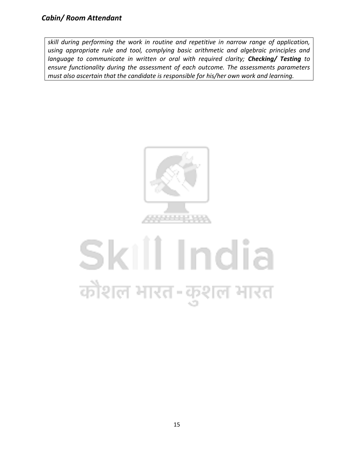*skill during performing the work in routine and repetitive in narrow range of application, using appropriate rule and tool, complying basic arithmetic and algebraic principles and language to communicate in written or oral with required clarity; Checking/ Testing to ensure functionality during the assessment of each outcome. The assessments parameters must also ascertain that the candidate is responsible for his/her own work and learning.*



# Skill India कोशल भारत-कुशल भारत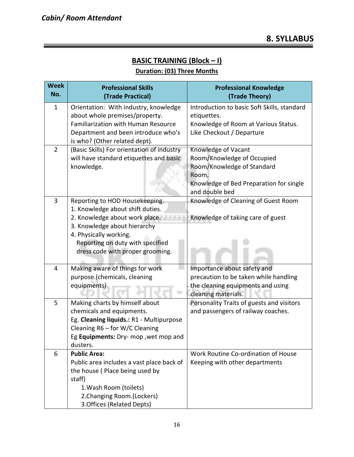# **BASIC TRAINING (Block – I)**

# **Duration: (03) Three Months**

| <b>Week</b><br>No. | <b>Professional Skills</b><br>(Trade Practical)            | <b>Professional Knowledge</b><br>(Trade Theory) |
|--------------------|------------------------------------------------------------|-------------------------------------------------|
| $\mathbf{1}$       | Orientation: With industry, knowledge                      | Introduction to basic Soft Skills, standard     |
|                    | about whole premises/property.                             | etiquettes.                                     |
|                    | <b>Familiarization with Human Resource</b>                 | Knowledge of Room at Various Status.            |
|                    | Department and been introduce who's                        | Like Checkout / Departure                       |
|                    | is who? (Other related dept).                              |                                                 |
| $\overline{2}$     | (Basic Skills) For orientation of industry                 | Knowledge of Vacant                             |
|                    | will have standard etiquettes and basic                    | Room/Knowledge of Occupied                      |
|                    | knowledge.                                                 | Room/Knowledge of Standard                      |
|                    |                                                            | Room,                                           |
|                    |                                                            | Knowledge of Bed Preparation for single         |
|                    |                                                            | and double bed                                  |
| 3                  | Reporting to HOD Housekeeping.                             | Knowledge of Cleaning of Guest Room             |
|                    | 1. Knowledge about shift duties.                           |                                                 |
|                    | 2. Knowledge about work place.                             | Knowledge of taking care of guest               |
|                    | 3. Knowledge about hierarchy                               |                                                 |
|                    | 4. Physically working.<br>Reporting on duty with specified |                                                 |
|                    | dress code with proper grooming.                           |                                                 |
|                    |                                                            |                                                 |
| 4                  | Making aware of things for work                            | Importance about safety and                     |
|                    | purpose.(chemicals, cleaning                               | precaution to be taken while handling           |
|                    | equipments)                                                | the cleaning equipments and using               |
|                    |                                                            | cleaning materials.                             |
| 5                  | Making charts by himself about                             | Personality Traits of guests and visitors       |
|                    | chemicals and equipments.                                  | and passengers of railway coaches.              |
|                    | Eg. Cleaning liquids.: R1 - Multipurpose                   |                                                 |
|                    | Cleaning R6 - for W/C Cleaning                             |                                                 |
|                    | Eg Equipments: Dry- mop , wet mop and                      |                                                 |
|                    | dusters.                                                   |                                                 |
| 6                  | <b>Public Area:</b>                                        | Work Routine Co-ordination of House             |
|                    | Public area includes a vast place back of                  | Keeping with other departments                  |
|                    | the house (Place being used by                             |                                                 |
|                    | staff)                                                     |                                                 |
|                    | 1. Wash Room (toilets)                                     |                                                 |
|                    | 2. Changing Room. (Lockers)                                |                                                 |
|                    | 3. Offices (Related Depts)                                 |                                                 |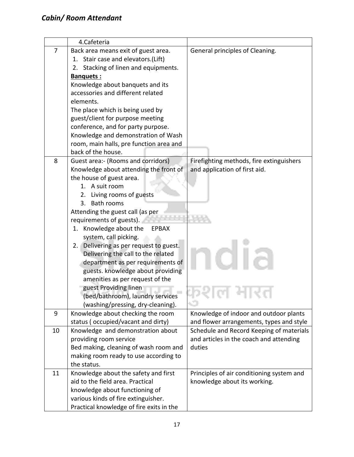|    | 4.Cafeteria                                                                                                                                                                                                                                                                                                                                                                                                                                                                                                                                                                                                                            |                                                                                               |
|----|----------------------------------------------------------------------------------------------------------------------------------------------------------------------------------------------------------------------------------------------------------------------------------------------------------------------------------------------------------------------------------------------------------------------------------------------------------------------------------------------------------------------------------------------------------------------------------------------------------------------------------------|-----------------------------------------------------------------------------------------------|
| 7  | Back area means exit of guest area.<br>1. Stair case and elevators.(Lift)<br>Stacking of linen and equipments.<br>2.<br>Banquets:<br>Knowledge about banquets and its<br>accessories and different related<br>elements.<br>The place which is being used by<br>guest/client for purpose meeting<br>conference, and for party purpose.<br>Knowledge and demonstration of Wash<br>room, main halls, pre function area and                                                                                                                                                                                                                | General principles of Cleaning.                                                               |
| 8  | back of the house.<br>Guest area:- (Rooms and corridors)<br>Knowledge about attending the front of<br>the house of guest area.<br>1. A suit room<br>2. Living rooms of guests<br>Bath rooms<br>3.<br>Attending the guest call (as per<br>requirements of guests).<br>1. Knowledge about the<br><b>EPBAX</b><br>system, call picking.<br>Delivering as per request to guest.<br>2.<br>Delivering the call to the related<br>department as per requirements of<br>guests. knowledge about providing<br>amenities as per request of the<br>guest Providing linen<br>(bed/bathroom), laundry services<br>(washing/pressing, dry-cleaning). | Firefighting methods, fire extinguishers<br>and application of first aid.<br>79. U<br>AC L    |
| 9  | Knowledge about checking the room<br>status (occupied/vacant and dirty)                                                                                                                                                                                                                                                                                                                                                                                                                                                                                                                                                                | Knowledge of indoor and outdoor plants<br>and flower arrangements, types and style            |
| 10 | Knowledge and demonstration about<br>providing room service<br>Bed making, cleaning of wash room and<br>making room ready to use according to<br>the status.                                                                                                                                                                                                                                                                                                                                                                                                                                                                           | Schedule and Record Keeping of materials<br>and articles in the coach and attending<br>duties |
| 11 | Knowledge about the safety and first<br>aid to the field area. Practical<br>knowledge about functioning of<br>various kinds of fire extinguisher.<br>Practical knowledge of fire exits in the                                                                                                                                                                                                                                                                                                                                                                                                                                          | Principles of air conditioning system and<br>knowledge about its working.                     |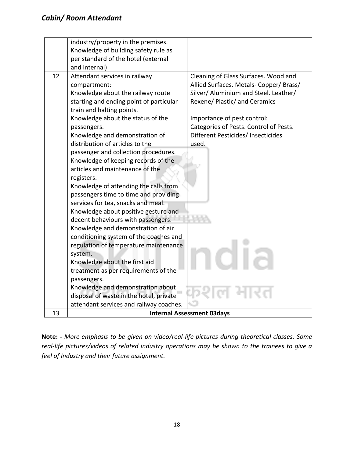|    | industry/property in the premises.      |                                         |
|----|-----------------------------------------|-----------------------------------------|
|    | Knowledge of building safety rule as    |                                         |
|    |                                         |                                         |
|    | per standard of the hotel (external     |                                         |
|    | and internal)                           |                                         |
| 12 | Attendant services in railway           | Cleaning of Glass Surfaces. Wood and    |
|    | compartment:                            | Allied Surfaces. Metals- Copper/ Brass/ |
|    | Knowledge about the railway route       | Silver/ Aluminium and Steel. Leather/   |
|    | starting and ending point of particular | Rexene/ Plastic/ and Ceramics           |
|    | train and halting points.               |                                         |
|    | Knowledge about the status of the       | Importance of pest control:             |
|    | passengers.                             | Categories of Pests. Control of Pests.  |
|    | Knowledge and demonstration of          | Different Pesticides/ Insecticides      |
|    | distribution of articles to the         | used.                                   |
|    | passenger and collection procedures.    |                                         |
|    | Knowledge of keeping records of the     |                                         |
|    | articles and maintenance of the         |                                         |
|    | registers.                              |                                         |
|    | Knowledge of attending the calls from   |                                         |
|    | passengers time to time and providing   |                                         |
|    | services for tea, snacks and meal.      |                                         |
|    | Knowledge about positive gesture and    |                                         |
|    | decent behaviours with passengers.      |                                         |
|    | Knowledge and demonstration of air      |                                         |
|    | conditioning system of the coaches and  |                                         |
|    | regulation of temperature maintenance   |                                         |
|    | system.                                 |                                         |
|    | Knowledge about the first aid           |                                         |
|    | treatment as per requirements of the    |                                         |
|    | passengers.                             |                                         |
|    | Knowledge and demonstration about       |                                         |
|    | disposal of waste in the hotel, private |                                         |
|    | attendant services and railway coaches. |                                         |
| 13 |                                         | <b>Internal Assessment 03days</b>       |

**Note: -** *More emphasis to be given on video/real-life pictures during theoretical classes. Some real-life pictures/videos of related industry operations may be shown to the trainees to give a feel of Industry and their future assignment.*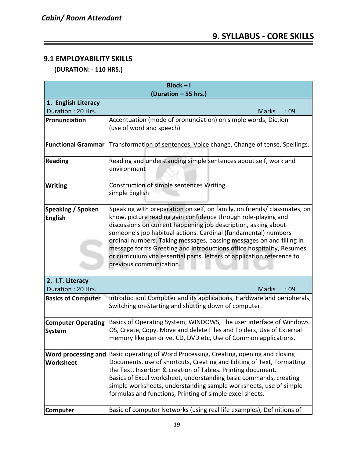# **9.1 EMPLOYABILITY SKILLS**

 **(DURATION: - 110 HRS.)**

| $Block - I$                                |                                                                                                                                                                                                                                                                                                                                                                                                                                                                                                                                      |  |  |  |  |  |  |  |
|--------------------------------------------|--------------------------------------------------------------------------------------------------------------------------------------------------------------------------------------------------------------------------------------------------------------------------------------------------------------------------------------------------------------------------------------------------------------------------------------------------------------------------------------------------------------------------------------|--|--|--|--|--|--|--|
| (Duration - 55 hrs.)                       |                                                                                                                                                                                                                                                                                                                                                                                                                                                                                                                                      |  |  |  |  |  |  |  |
| 1. English Literacy                        |                                                                                                                                                                                                                                                                                                                                                                                                                                                                                                                                      |  |  |  |  |  |  |  |
| Duration: 20 Hrs.                          | :09<br><b>Marks</b>                                                                                                                                                                                                                                                                                                                                                                                                                                                                                                                  |  |  |  |  |  |  |  |
| Pronunciation                              | Accentuation (mode of pronunciation) on simple words, Diction<br>(use of word and speech)                                                                                                                                                                                                                                                                                                                                                                                                                                            |  |  |  |  |  |  |  |
| <b>Functional Grammar</b>                  | Transformation of sentences, Voice change, Change of tense, Spellings.                                                                                                                                                                                                                                                                                                                                                                                                                                                               |  |  |  |  |  |  |  |
| <b>Reading</b>                             | Reading and understanding simple sentences about self, work and<br>environment                                                                                                                                                                                                                                                                                                                                                                                                                                                       |  |  |  |  |  |  |  |
| <b>Writing</b>                             | Construction of simple sentences Writing<br>simple English                                                                                                                                                                                                                                                                                                                                                                                                                                                                           |  |  |  |  |  |  |  |
| <b>Speaking / Spoken</b><br><b>English</b> | Speaking with preparation on self, on family, on friends/ classmates, on<br>know, picture reading gain confidence through role-playing and<br>discussions on current happening job description, asking about<br>someone's job habitual actions. Cardinal (fundamental) numbers<br>ordinal numbers. Taking messages, passing messages on and filling in<br>message forms Greeting and introductions office hospitality, Resumes<br>or curriculum vita essential parts, letters of application reference to<br>previous communication. |  |  |  |  |  |  |  |
| 2. I.T. Literacy<br>Duration: 20 Hrs.      | <b>Marks</b><br>:09                                                                                                                                                                                                                                                                                                                                                                                                                                                                                                                  |  |  |  |  |  |  |  |
| <b>Basics of Computer</b>                  | Introduction, Computer and its applications, Hardware and peripherals,<br>Switching on-Starting and shutting down of computer.                                                                                                                                                                                                                                                                                                                                                                                                       |  |  |  |  |  |  |  |
| <b>Computer Operating</b><br>System        | Basics of Operating System, WINDOWS, The user interface of Windows<br>OS, Create, Copy, Move and delete Files and Folders, Use of External<br>memory like pen drive, CD, DVD etc, Use of Common applications.                                                                                                                                                                                                                                                                                                                        |  |  |  |  |  |  |  |
| Worksheet                                  | Word processing and   Basic operating of Word Processing, Creating, opening and closing<br>Documents, use of shortcuts, Creating and Editing of Text, Formatting<br>the Text, Insertion & creation of Tables. Printing document.<br>Basics of Excel worksheet, understanding basic commands, creating<br>simple worksheets, understanding sample worksheets, use of simple<br>formulas and functions, Printing of simple excel sheets.                                                                                               |  |  |  |  |  |  |  |
| Computer                                   | Basic of computer Networks (using real life examples), Definitions of                                                                                                                                                                                                                                                                                                                                                                                                                                                                |  |  |  |  |  |  |  |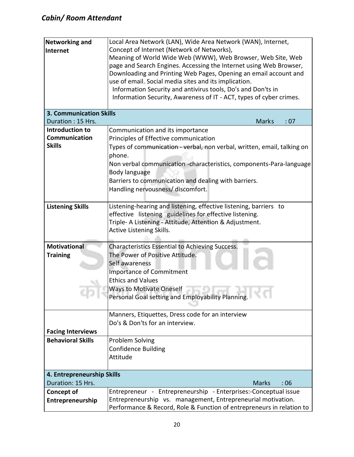| <b>Networking and</b><br>Internet       | Local Area Network (LAN), Wide Area Network (WAN), Internet,<br>Concept of Internet (Network of Networks),<br>Meaning of World Wide Web (WWW), Web Browser, Web Site, Web<br>page and Search Engines. Accessing the Internet using Web Browser,<br>Downloading and Printing Web Pages, Opening an email account and<br>use of email. Social media sites and its implication.<br>Information Security and antivirus tools, Do's and Don'ts in |  |  |  |  |  |  |
|-----------------------------------------|----------------------------------------------------------------------------------------------------------------------------------------------------------------------------------------------------------------------------------------------------------------------------------------------------------------------------------------------------------------------------------------------------------------------------------------------|--|--|--|--|--|--|
|                                         | Information Security, Awareness of IT - ACT, types of cyber crimes.                                                                                                                                                                                                                                                                                                                                                                          |  |  |  |  |  |  |
| <b>3. Communication Skills</b>          |                                                                                                                                                                                                                                                                                                                                                                                                                                              |  |  |  |  |  |  |
| Duration: 15 Hrs.                       | <b>Marks</b><br>: 07                                                                                                                                                                                                                                                                                                                                                                                                                         |  |  |  |  |  |  |
| Introduction to<br><b>Communication</b> | Communication and its importance                                                                                                                                                                                                                                                                                                                                                                                                             |  |  |  |  |  |  |
| <b>Skills</b>                           | Principles of Effective communication                                                                                                                                                                                                                                                                                                                                                                                                        |  |  |  |  |  |  |
|                                         | Types of communication - verbal, non verbal, written, email, talking on<br>phone.<br>Non verbal communication -characteristics, components-Para-language<br>Body language<br>Barriers to communication and dealing with barriers.<br>Handling nervousness/ discomfort.                                                                                                                                                                       |  |  |  |  |  |  |
| <b>Listening Skills</b>                 | Listening-hearing and listening, effective listening, barriers to                                                                                                                                                                                                                                                                                                                                                                            |  |  |  |  |  |  |
|                                         | effective listening guidelines for effective listening.<br>Triple- A Listening - Attitude, Attention & Adjustment.<br>Active Listening Skills.                                                                                                                                                                                                                                                                                               |  |  |  |  |  |  |
| <b>Motivational</b>                     | Characteristics Essential to Achieving Success.                                                                                                                                                                                                                                                                                                                                                                                              |  |  |  |  |  |  |
| <b>Training</b>                         | The Power of Positive Attitude.<br>Self awareness                                                                                                                                                                                                                                                                                                                                                                                            |  |  |  |  |  |  |
|                                         | <b>Importance of Commitment</b><br><b>Ethics and Values</b>                                                                                                                                                                                                                                                                                                                                                                                  |  |  |  |  |  |  |
|                                         | <b>Ways to Motivate Oneself</b><br>Personal Goal setting and Employability Planning.                                                                                                                                                                                                                                                                                                                                                         |  |  |  |  |  |  |
|                                         | Manners, Etiquettes, Dress code for an interview                                                                                                                                                                                                                                                                                                                                                                                             |  |  |  |  |  |  |
|                                         | Do's & Don'ts for an interview.                                                                                                                                                                                                                                                                                                                                                                                                              |  |  |  |  |  |  |
| <b>Facing Interviews</b>                |                                                                                                                                                                                                                                                                                                                                                                                                                                              |  |  |  |  |  |  |
| <b>Behavioral Skills</b>                | Problem Solving                                                                                                                                                                                                                                                                                                                                                                                                                              |  |  |  |  |  |  |
|                                         | <b>Confidence Building</b>                                                                                                                                                                                                                                                                                                                                                                                                                   |  |  |  |  |  |  |
|                                         | Attitude                                                                                                                                                                                                                                                                                                                                                                                                                                     |  |  |  |  |  |  |
| 4. Entrepreneurship Skills              |                                                                                                                                                                                                                                                                                                                                                                                                                                              |  |  |  |  |  |  |
| Duration: 15 Hrs.                       | <b>Marks</b><br>: 06                                                                                                                                                                                                                                                                                                                                                                                                                         |  |  |  |  |  |  |
| <b>Concept of</b>                       | Entrepreneur - Entrepreneurship - Enterprises:-Conceptual issue                                                                                                                                                                                                                                                                                                                                                                              |  |  |  |  |  |  |
| Entrepreneurship                        | Entrepreneurship vs. management, Entrepreneurial motivation.<br>Performance & Record, Role & Function of entrepreneurs in relation to                                                                                                                                                                                                                                                                                                        |  |  |  |  |  |  |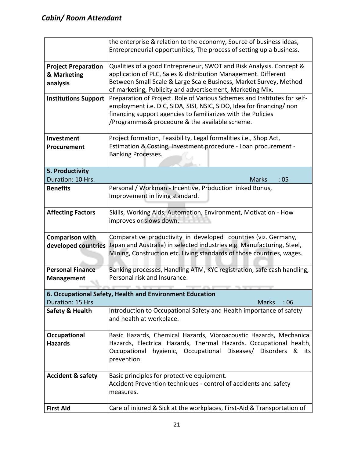|                                                                                               | the enterprise & relation to the economy, Source of business ideas,<br>Entrepreneurial opportunities, The process of setting up a business. |  |  |  |  |  |  |  |
|-----------------------------------------------------------------------------------------------|---------------------------------------------------------------------------------------------------------------------------------------------|--|--|--|--|--|--|--|
| <b>Project Preparation</b>                                                                    | Qualities of a good Entrepreneur, SWOT and Risk Analysis. Concept &                                                                         |  |  |  |  |  |  |  |
| & Marketing                                                                                   | application of PLC, Sales & distribution Management. Different                                                                              |  |  |  |  |  |  |  |
| analysis                                                                                      | Between Small Scale & Large Scale Business, Market Survey, Method                                                                           |  |  |  |  |  |  |  |
|                                                                                               | of marketing, Publicity and advertisement, Marketing Mix.                                                                                   |  |  |  |  |  |  |  |
| <b>Institutions Support</b>                                                                   | Preparation of Project. Role of Various Schemes and Institutes for self-                                                                    |  |  |  |  |  |  |  |
|                                                                                               | employment i.e. DIC, SIDA, SISI, NSIC, SIDO, Idea for financing/ non                                                                        |  |  |  |  |  |  |  |
|                                                                                               | financing support agencies to familiarizes with the Policies                                                                                |  |  |  |  |  |  |  |
|                                                                                               | /Programmes& procedure & the available scheme.                                                                                              |  |  |  |  |  |  |  |
| Investment                                                                                    | Project formation, Feasibility, Legal formalities i.e., Shop Act,                                                                           |  |  |  |  |  |  |  |
| Procurement                                                                                   | Estimation & Costing, Investment procedure - Loan procurement -                                                                             |  |  |  |  |  |  |  |
|                                                                                               | Banking Processes.                                                                                                                          |  |  |  |  |  |  |  |
|                                                                                               |                                                                                                                                             |  |  |  |  |  |  |  |
| 5. Productivity                                                                               |                                                                                                                                             |  |  |  |  |  |  |  |
| Duration: 10 Hrs.                                                                             | :05<br><b>Marks</b>                                                                                                                         |  |  |  |  |  |  |  |
| <b>Benefits</b>                                                                               | Personal / Workman - Incentive, Production linked Bonus,                                                                                    |  |  |  |  |  |  |  |
|                                                                                               | Improvement in living standard.                                                                                                             |  |  |  |  |  |  |  |
|                                                                                               |                                                                                                                                             |  |  |  |  |  |  |  |
| <b>Affecting Factors</b>                                                                      | Skills, Working Aids, Automation, Environment, Motivation - How                                                                             |  |  |  |  |  |  |  |
|                                                                                               | improves or slows down.                                                                                                                     |  |  |  |  |  |  |  |
|                                                                                               |                                                                                                                                             |  |  |  |  |  |  |  |
| <b>Comparison with</b>                                                                        | Comparative productivity in developed countries (viz. Germany,                                                                              |  |  |  |  |  |  |  |
| Japan and Australia) in selected industries e.g. Manufacturing, Steel,<br>developed countries |                                                                                                                                             |  |  |  |  |  |  |  |
|                                                                                               | Mining, Construction etc. Living standards of those countries, wages.                                                                       |  |  |  |  |  |  |  |
| <b>Personal Finance</b>                                                                       | Banking processes, Handling ATM, KYC registration, safe cash handling,                                                                      |  |  |  |  |  |  |  |
|                                                                                               | Personal risk and Insurance.                                                                                                                |  |  |  |  |  |  |  |
| <b>Management</b>                                                                             |                                                                                                                                             |  |  |  |  |  |  |  |
|                                                                                               | 6. Occupational Safety, Health and Environment Education                                                                                    |  |  |  |  |  |  |  |
| Duration: 15 Hrs.                                                                             | <b>Marks</b><br>:06                                                                                                                         |  |  |  |  |  |  |  |
| <b>Safety &amp; Health</b>                                                                    | Introduction to Occupational Safety and Health importance of safety                                                                         |  |  |  |  |  |  |  |
|                                                                                               | and health at workplace.                                                                                                                    |  |  |  |  |  |  |  |
|                                                                                               |                                                                                                                                             |  |  |  |  |  |  |  |
| Occupational                                                                                  | Basic Hazards, Chemical Hazards, Vibroacoustic Hazards, Mechanical                                                                          |  |  |  |  |  |  |  |
| <b>Hazards</b>                                                                                | Hazards, Electrical Hazards, Thermal Hazards. Occupational health,                                                                          |  |  |  |  |  |  |  |
|                                                                                               | hygienic, Occupational Diseases/ Disorders<br>Occupational<br>&<br>its                                                                      |  |  |  |  |  |  |  |
|                                                                                               | prevention.                                                                                                                                 |  |  |  |  |  |  |  |
|                                                                                               |                                                                                                                                             |  |  |  |  |  |  |  |
| <b>Accident &amp; safety</b>                                                                  | Basic principles for protective equipment.                                                                                                  |  |  |  |  |  |  |  |
|                                                                                               | Accident Prevention techniques - control of accidents and safety                                                                            |  |  |  |  |  |  |  |
|                                                                                               | measures.                                                                                                                                   |  |  |  |  |  |  |  |
| <b>First Aid</b>                                                                              | Care of injured & Sick at the workplaces, First-Aid & Transportation of                                                                     |  |  |  |  |  |  |  |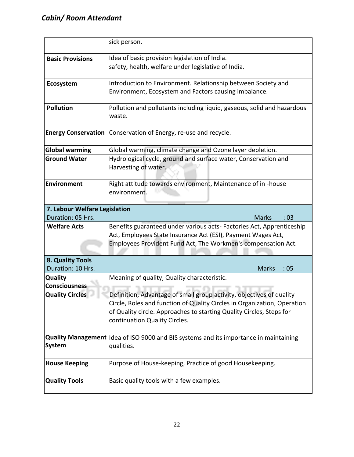|                               | sick person.                                                                           |  |  |  |  |  |  |  |
|-------------------------------|----------------------------------------------------------------------------------------|--|--|--|--|--|--|--|
| <b>Basic Provisions</b>       | Idea of basic provision legislation of India.                                          |  |  |  |  |  |  |  |
|                               | safety, health, welfare under legislative of India.                                    |  |  |  |  |  |  |  |
| Ecosystem                     | Introduction to Environment. Relationship between Society and                          |  |  |  |  |  |  |  |
|                               | Environment, Ecosystem and Factors causing imbalance.                                  |  |  |  |  |  |  |  |
| <b>Pollution</b>              | Pollution and pollutants including liquid, gaseous, solid and hazardous                |  |  |  |  |  |  |  |
|                               | waste.                                                                                 |  |  |  |  |  |  |  |
| <b>Energy Conservation</b>    | Conservation of Energy, re-use and recycle.                                            |  |  |  |  |  |  |  |
| <b>Global warming</b>         | Global warming, climate change and Ozone layer depletion.                              |  |  |  |  |  |  |  |
| <b>Ground Water</b>           | Hydrological cycle, ground and surface water, Conservation and<br>Harvesting of water. |  |  |  |  |  |  |  |
| <b>Environment</b>            | Right attitude towards environment, Maintenance of in -house<br>environment.           |  |  |  |  |  |  |  |
| 7. Labour Welfare Legislation |                                                                                        |  |  |  |  |  |  |  |
| Duration: 05 Hrs.             | <b>Marks</b><br>:03                                                                    |  |  |  |  |  |  |  |
| <b>Welfare Acts</b>           | Benefits guaranteed under various acts- Factories Act, Apprenticeship                  |  |  |  |  |  |  |  |
|                               | Act, Employees State Insurance Act (ESI), Payment Wages Act,                           |  |  |  |  |  |  |  |
|                               | Employees Provident Fund Act, The Workmen's compensation Act.                          |  |  |  |  |  |  |  |
| 8. Quality Tools              |                                                                                        |  |  |  |  |  |  |  |
| Duration: 10 Hrs.             | <b>Marks</b><br>:05                                                                    |  |  |  |  |  |  |  |
| Quality                       | Meaning of quality, Quality characteristic.                                            |  |  |  |  |  |  |  |
| Consciousness                 |                                                                                        |  |  |  |  |  |  |  |
| <b>Quality Circles</b>        | Definition, Advantage of small group activity, objectives of quality                   |  |  |  |  |  |  |  |
|                               | Circle, Roles and function of Quality Circles in Organization, Operation               |  |  |  |  |  |  |  |
|                               | of Quality circle. Approaches to starting Quality Circles, Steps for                   |  |  |  |  |  |  |  |
|                               | continuation Quality Circles.                                                          |  |  |  |  |  |  |  |
|                               | Quality Management Idea of ISO 9000 and BIS systems and its importance in maintaining  |  |  |  |  |  |  |  |
| <b>System</b>                 | qualities.                                                                             |  |  |  |  |  |  |  |
| <b>House Keeping</b>          | Purpose of House-keeping, Practice of good Housekeeping.                               |  |  |  |  |  |  |  |
| <b>Quality Tools</b>          | Basic quality tools with a few examples.                                               |  |  |  |  |  |  |  |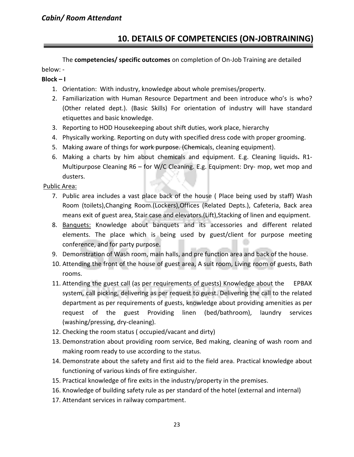# **10. DETAILS OF COMPETENCIES (ON-JOBTRAINING)**

The **competencies/ specific outcomes** on completion of On-Job Training are detailed below: -

#### **Block – I**

- 1. Orientation: With industry, knowledge about whole premises/property.
- 2. Familiarization with Human Resource Department and been introduce who's is who? (Other related dept.). (Basic Skills) For orientation of industry will have standard etiquettes and basic knowledge.
- 3. Reporting to HOD Housekeeping about shift duties, work place, hierarchy
- 4. Physically working. Reporting on duty with specified dress code with proper grooming.
- 5. Making aware of things for work purpose. (Chemicals, cleaning equipment).
- 6. Making a charts by him about chemicals and equipment. E.g. Cleaning liquids**.** R1- Multipurpose Cleaning R6 – for W/C Cleaning. E.g. Equipment: Dry- mop, wet mop and dusters.

Public Area:

- 7. Public area includes a vast place back of the house ( Place being used by staff) Wash Room (toilets),Changing Room.(Lockers),Offices (Related Depts.), Cafeteria, Back area means exit of guest area, Stair case and elevators.(Lift),Stacking of linen and equipment.
- 8. Banquets: Knowledge about banquets and its accessories and different related elements. The place which is being used by guest/client for purpose meeting conference, and for party purpose.
- 9. Demonstration of Wash room, main halls, and pre function area and back of the house.
- 10. Attending the front of the house of guest area, A suit room, Living room of guests, Bath rooms.
- 11. Attending the guest call (as per requirements of guests) Knowledge about the EPBAX system, call picking, delivering as per request to guest. Delivering the call to the related department as per requirements of guests, knowledge about providing amenities as per request of the guest Providing linen (bed/bathroom), laundry services (washing/pressing, dry-cleaning).
- 12. Checking the room status ( occupied/vacant and dirty)
- 13. Demonstration about providing room service, Bed making, cleaning of wash room and making room ready to use according to the status.
- 14. Demonstrate about the safety and first aid to the field area. Practical knowledge about functioning of various kinds of fire extinguisher.
- 15. Practical knowledge of fire exits in the industry/property in the premises.
- 16. Knowledge of building safety rule as per standard of the hotel (external and internal)
- 17. Attendant services in railway compartment.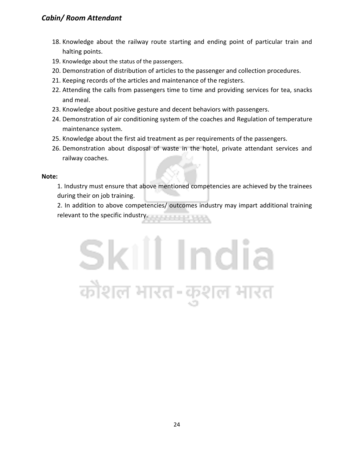# *Cabin/ Room Attendant*

- 18. Knowledge about the railway route starting and ending point of particular train and halting points.
- 19. Knowledge about the status of the passengers.
- 20. Demonstration of distribution of articles to the passenger and collection procedures.
- 21. Keeping records of the articles and maintenance of the registers.
- 22. Attending the calls from passengers time to time and providing services for tea, snacks and meal.
- 23. Knowledge about positive gesture and decent behaviors with passengers.
- 24. Demonstration of air conditioning system of the coaches and Regulation of temperature maintenance system.
- 25. Knowledge about the first aid treatment as per requirements of the passengers.
- 26. Demonstration about disposal of waste in the hotel, private attendant services and railway coaches.

#### **Note:**

1. Industry must ensure that above mentioned competencies are achieved by the trainees during their on job training.

2. In addition to above competencies/ outcomes industry may impart additional training relevant to the specific industry.

# Skill India कोशल भारत-कुशल भारत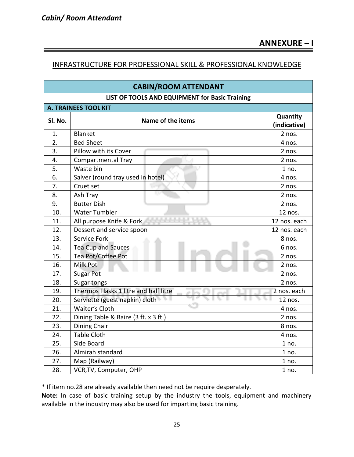### INFRASTRUCTURE FOR PROFESSIONAL SKILL & PROFESSIONAL KNOWLEDGE

| <b>CABIN/ROOM ATTENDANT</b>                    |                                       |                          |  |  |  |  |  |  |
|------------------------------------------------|---------------------------------------|--------------------------|--|--|--|--|--|--|
| LIST OF TOOLS AND EQUIPMENT for Basic Training |                                       |                          |  |  |  |  |  |  |
|                                                | <b>A. TRAINEES TOOL KIT</b>           |                          |  |  |  |  |  |  |
| SI. No.                                        | Name of the items                     | Quantity<br>(indicative) |  |  |  |  |  |  |
| 1.                                             | Blanket                               | 2 nos.                   |  |  |  |  |  |  |
| 2.                                             | <b>Bed Sheet</b>                      | 4 nos.                   |  |  |  |  |  |  |
| 3.                                             | Pillow with its Cover                 | 2 nos.                   |  |  |  |  |  |  |
| 4.                                             | Compartmental Tray                    | $2$ nos.                 |  |  |  |  |  |  |
| 5.                                             | Waste bin                             | 1 no.                    |  |  |  |  |  |  |
| 6.                                             | Salver (round tray used in hotel)     | 4 nos.                   |  |  |  |  |  |  |
| 7.                                             | Cruet set                             | 2 nos.                   |  |  |  |  |  |  |
| 8.                                             | Ash Tray                              | 2 nos.                   |  |  |  |  |  |  |
| 9.                                             | <b>Butter Dish</b>                    | 2 nos.                   |  |  |  |  |  |  |
| 10.                                            | <b>Water Tumbler</b>                  | 12 nos.                  |  |  |  |  |  |  |
| 11.                                            | All purpose Knife & Fork              | 12 nos. each             |  |  |  |  |  |  |
| 12.                                            | Dessert and service spoon             | 12 nos. each             |  |  |  |  |  |  |
| 13.                                            | Service Fork                          | 8 nos.                   |  |  |  |  |  |  |
| 14.                                            | <b>Tea Cup and Sauces</b>             | 6 nos.                   |  |  |  |  |  |  |
| 15.                                            | Tea Pot/Coffee Pot                    | 2 nos.                   |  |  |  |  |  |  |
| 16.                                            | Milk Pot                              | 2 nos.                   |  |  |  |  |  |  |
| 17.                                            | <b>Sugar Pot</b>                      | 2 nos.                   |  |  |  |  |  |  |
| 18.                                            | Sugar tongs                           | 2 nos.                   |  |  |  |  |  |  |
| 19.                                            | Thermos Flasks 1 litre and half litre | 2 nos. each              |  |  |  |  |  |  |
| 20.                                            | Serviette (guest napkin) cloth        | 12 nos.                  |  |  |  |  |  |  |
| 21.                                            | Waiter's Cloth                        | 4 nos.                   |  |  |  |  |  |  |
| 22.                                            | Dining Table & Baize (3 ft. x 3 ft.)  | 2 nos.                   |  |  |  |  |  |  |
| 23.                                            | Dining Chair                          | 8 nos.                   |  |  |  |  |  |  |
| 24.                                            | <b>Table Cloth</b>                    | 4 nos.                   |  |  |  |  |  |  |
| 25.                                            | Side Board                            | 1 no.                    |  |  |  |  |  |  |
| 26.                                            | Almirah standard                      | 1 no.                    |  |  |  |  |  |  |
| 27.                                            | Map (Railway)                         | $1$ no.                  |  |  |  |  |  |  |
| 28.                                            | VCR, TV, Computer, OHP                | 1 no.                    |  |  |  |  |  |  |

\* If item no.28 are already available then need not be require desperately.

**Note:** In case of basic training setup by the industry the tools, equipment and machinery available in the industry may also be used for imparting basic training.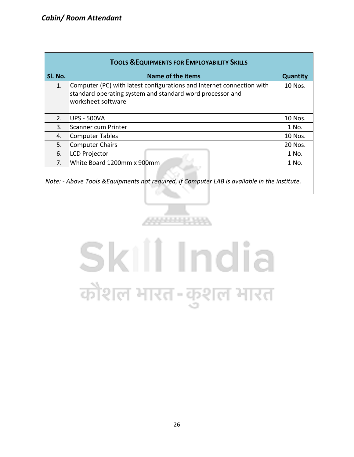| <b>TOOLS &amp; EQUIPMENTS FOR EMPLOYABILITY SKILLS</b> |                                                                                                                                                          |                 |  |  |  |  |  |  |
|--------------------------------------------------------|----------------------------------------------------------------------------------------------------------------------------------------------------------|-----------------|--|--|--|--|--|--|
| SI. No.                                                | Name of the items                                                                                                                                        | <b>Quantity</b> |  |  |  |  |  |  |
| 1.                                                     | Computer (PC) with latest configurations and Internet connection with<br>standard operating system and standard word processor and<br>worksheet software |                 |  |  |  |  |  |  |
| 2.                                                     | <b>UPS - 500VA</b>                                                                                                                                       | 10 Nos.         |  |  |  |  |  |  |
| 3.                                                     | Scanner cum Printer                                                                                                                                      | 1 No.           |  |  |  |  |  |  |
| 4.                                                     | Computer Tables                                                                                                                                          | 10 Nos.         |  |  |  |  |  |  |
| 5.                                                     | Computer Chairs                                                                                                                                          | 20 Nos.         |  |  |  |  |  |  |
| 6.                                                     | <b>LCD Projector</b>                                                                                                                                     | 1 No.           |  |  |  |  |  |  |
| 7.                                                     | White Board 1200mm x 900mm                                                                                                                               | 1 No.           |  |  |  |  |  |  |
|                                                        |                                                                                                                                                          |                 |  |  |  |  |  |  |

*Note: - Above Tools &Equipments not required, if Computer LAB is available in the institute.*